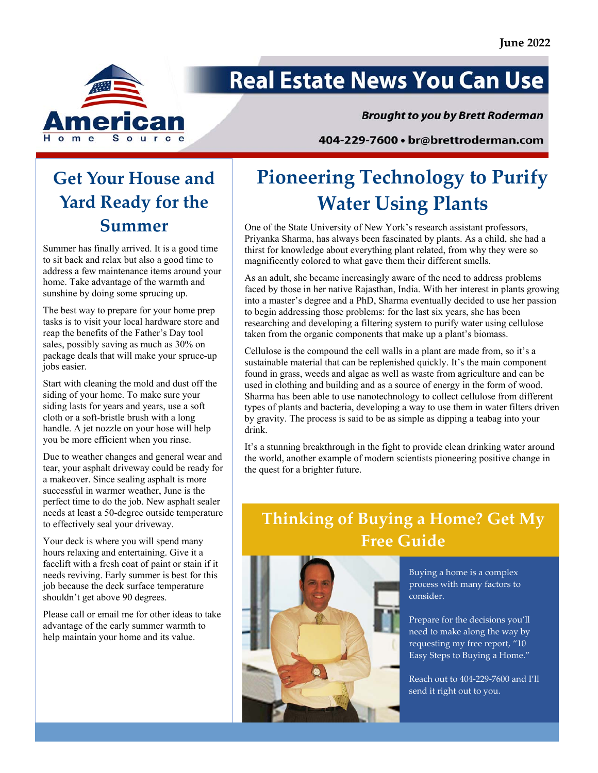

# **Real Estate News You Can Use**

#### **Brought to you by Brett Roderman**

404-229-7600 · br@brettroderman.com

### **Get Your House and Yard Ready for the Summer**

Summer has finally arrived. It is a good time to sit back and relax but also a good time to address a few maintenance items around your home. Take advantage of the warmth and sunshine by doing some sprucing up.

The best way to prepare for your home prep tasks is to visit your local hardware store and reap the benefits of the Father's Day tool sales, possibly saving as much as 30% on package deals that will make your spruce-up jobs easier.

Start with cleaning the mold and dust off the siding of your home. To make sure your siding lasts for years and years, use a soft cloth or a soft-bristle brush with a long handle. A jet nozzle on your hose will help you be more efficient when you rinse.

Due to weather changes and general wear and tear, your asphalt driveway could be ready for a makeover. Since sealing asphalt is more successful in warmer weather, June is the perfect time to do the job. New asphalt sealer needs at least a 50-degree outside temperature to effectively seal your driveway.

Your deck is where you will spend many hours relaxing and entertaining. Give it a facelift with a fresh coat of paint or stain if it needs reviving. Early summer is best for this job because the deck surface temperature shouldn't get above 90 degrees.

Please call or email me for other ideas to take advantage of the early summer warmth to help maintain your home and its value.

## **Pioneering Technology to Purify Water Using Plants**

One of the State University of New York's research assistant professors, Priyanka Sharma, has always been fascinated by plants. As a child, she had a thirst for knowledge about everything plant related, from why they were so magnificently colored to what gave them their different smells.

As an adult, she became increasingly aware of the need to address problems faced by those in her native Rajasthan, India. With her interest in plants growing into a master's degree and a PhD, Sharma eventually decided to use her passion to begin addressing those problems: for the last six years, she has been researching and developing a filtering system to purify water using cellulose taken from the organic components that make up a plant's biomass.

Cellulose is the compound the cell walls in a plant are made from, so it's a sustainable material that can be replenished quickly. It's the main component found in grass, weeds and algae as well as waste from agriculture and can be used in clothing and building and as a source of energy in the form of wood. Sharma has been able to use nanotechnology to collect cellulose from different types of plants and bacteria, developing a way to use them in water filters driven by gravity. The process is said to be as simple as dipping a teabag into your drink.

It's a stunning breakthrough in the fight to provide clean drinking water around the world, another example of modern scientists pioneering positive change in the quest for a brighter future.

### **Thinking of Buying a Home? Get My Free Guide**



Buying a home is a complex process with many factors to consider.

Prepare for the decisions you'll need to make along the way by requesting my free report, "10 Easy Steps to Buying a Home."

Reach out to 404‐229‐7600 and I'll send it right out to you.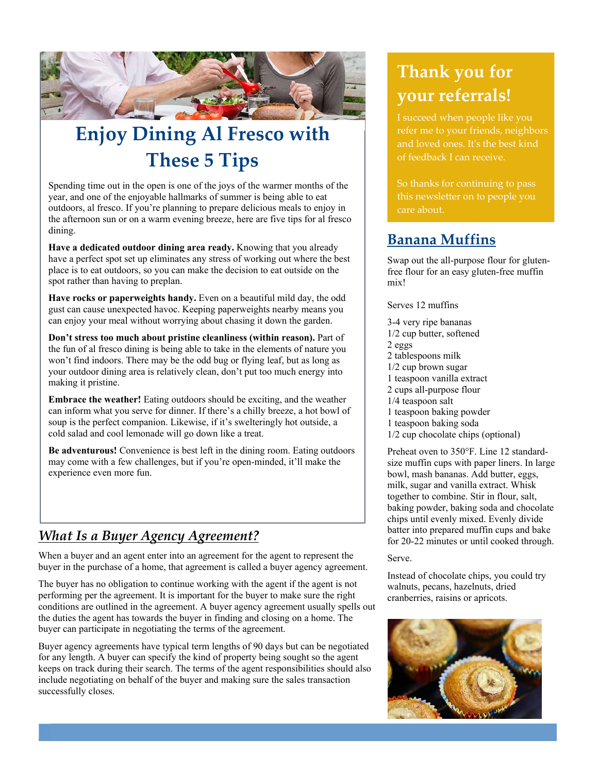

## **Enjoy Dining Al Fresco with These 5 Tips**

Spending time out in the open is one of the joys of the warmer months of the year, and one of the enjoyable hallmarks of summer is being able to eat outdoors, al fresco. If you're planning to prepare delicious meals to enjoy in the afternoon sun or on a warm evening breeze, here are five tips for al fresco dining.

**Have a dedicated outdoor dining area ready.** Knowing that you already have a perfect spot set up eliminates any stress of working out where the best place is to eat outdoors, so you can make the decision to eat outside on the spot rather than having to preplan.

**Have rocks or paperweights handy.** Even on a beautiful mild day, the odd gust can cause unexpected havoc. Keeping paperweights nearby means you can enjoy your meal without worrying about chasing it down the garden.

**Don't stress too much about pristine cleanliness (within reason).** Part of the fun of al fresco dining is being able to take in the elements of nature you won't find indoors. There may be the odd bug or flying leaf, but as long as your outdoor dining area is relatively clean, don't put too much energy into making it pristine.

**Embrace the weather!** Eating outdoors should be exciting, and the weather can inform what you serve for dinner. If there's a chilly breeze, a hot bowl of soup is the perfect companion. Likewise, if it's swelteringly hot outside, a cold salad and cool lemonade will go down like a treat.

**Be adventurous!** Convenience is best left in the dining room. Eating outdoors may come with a few challenges, but if you're open-minded, it'll make the experience even more fun.

### *What Is a Buyer Agency Agreement?*

When a buyer and an agent enter into an agreement for the agent to represent the buyer in the purchase of a home, that agreement is called a buyer agency agreement.

The buyer has no obligation to continue working with the agent if the agent is not performing per the agreement. It is important for the buyer to make sure the right conditions are outlined in the agreement. A buyer agency agreement usually spells out the duties the agent has towards the buyer in finding and closing on a home. The buyer can participate in negotiating the terms of the agreement.

Buyer agency agreements have typical term lengths of 90 days but can be negotiated for any length. A buyer can specify the kind of property being sought so the agent keeps on track during their search. The terms of the agent responsibilities should also include negotiating on behalf of the buyer and making sure the sales transaction successfully closes.

### **Thank you for your referrals!**

refer me to your friends, neighbors and loved ones. Itʹs the best kind of feedback I can receive.

So thanks for continuing to pass

### **Banana Muffins**

Swap out the all-purpose flour for glutenfree flour for an easy gluten-free muffin mix!

Serves 12 muffins

3-4 very ripe bananas 1/2 cup butter, softened 2 eggs 2 tablespoons milk 1/2 cup brown sugar 1 teaspoon vanilla extract 2 cups all-purpose flour 1/4 teaspoon salt 1 teaspoon baking powder 1 teaspoon baking soda 1/2 cup chocolate chips (optional)

Preheat oven to 350°F. Line 12 standardsize muffin cups with paper liners. In large bowl, mash bananas. Add butter, eggs, milk, sugar and vanilla extract. Whisk together to combine. Stir in flour, salt, baking powder, baking soda and chocolate chips until evenly mixed. Evenly divide batter into prepared muffin cups and bake for 20-22 minutes or until cooked through.

Serve.

Instead of chocolate chips, you could try walnuts, pecans, hazelnuts, dried cranberries, raisins or apricots.

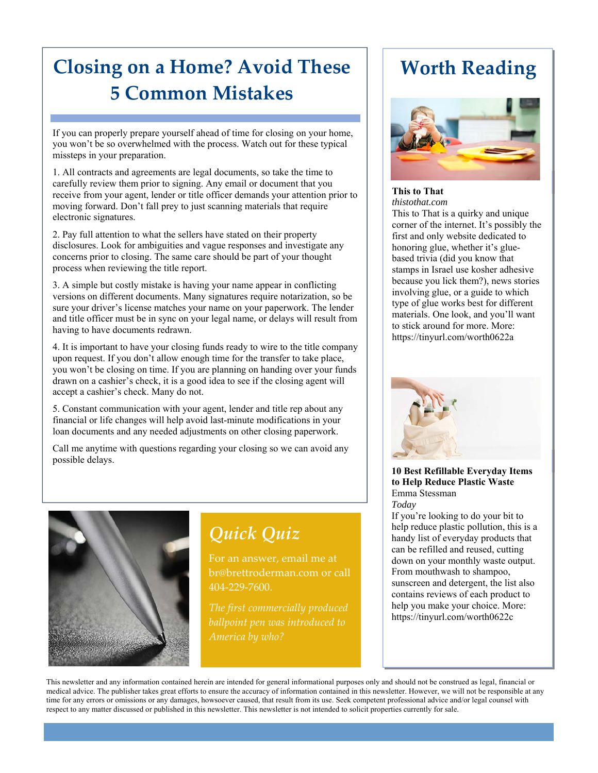### **Closing on a Home? Avoid These 5 Common Mistakes**

If you can properly prepare yourself ahead of time for closing on your home, you won't be so overwhelmed with the process. Watch out for these typical missteps in your preparation.

1. All contracts and agreements are legal documents, so take the time to carefully review them prior to signing. Any email or document that you receive from your agent, lender or title officer demands your attention prior to moving forward. Don't fall prey to just scanning materials that require electronic signatures.

2. Pay full attention to what the sellers have stated on their property disclosures. Look for ambiguities and vague responses and investigate any concerns prior to closing. The same care should be part of your thought process when reviewing the title report.

3. A simple but costly mistake is having your name appear in conflicting versions on different documents. Many signatures require notarization, so be sure your driver's license matches your name on your paperwork. The lender and title officer must be in sync on your legal name, or delays will result from having to have documents redrawn.

4. It is important to have your closing funds ready to wire to the title company upon request. If you don't allow enough time for the transfer to take place, you won't be closing on time. If you are planning on handing over your funds drawn on a cashier's check, it is a good idea to see if the closing agent will accept a cashier's check. Many do not.

5. Constant communication with your agent, lender and title rep about any financial or life changes will help avoid last-minute modifications in your loan documents and any needed adjustments on other closing paperwork.

Call me anytime with questions regarding your closing so we can avoid any possible delays.



*Quick Quiz*

For an answer, email me at br@brettroderman.com or call 404‐229‐7600.

### **Worth Reading**



#### **This to That**  *thistothat.com*

This to That is a quirky and unique corner of the internet. It's possibly the first and only website dedicated to honoring glue, whether it's gluebased trivia (did you know that stamps in Israel use kosher adhesive because you lick them?), news stories involving glue, or a guide to which type of glue works best for different materials. One look, and you'll want to stick around for more. More: https://tinyurl.com/worth0622a



#### **10 Best Refillable Everyday Items to Help Reduce Plastic Waste**  Emma Stessman *Today*

If you're looking to do your bit to help reduce plastic pollution, this is a handy list of everyday products that can be refilled and reused, cutting down on your monthly waste output. From mouthwash to shampoo, sunscreen and detergent, the list also contains reviews of each product to help you make your choice. More: https://tinyurl.com/worth0622c

This newsletter and any information contained herein are intended for general informational purposes only and should not be construed as legal, financial or medical advice. The publisher takes great efforts to ensure the accuracy of information contained in this newsletter. However, we will not be responsible at any time for any errors or omissions or any damages, howsoever caused, that result from its use. Seek competent professional advice and/or legal counsel with respect to any matter discussed or published in this newsletter. This newsletter is not intended to solicit properties currently for sale.